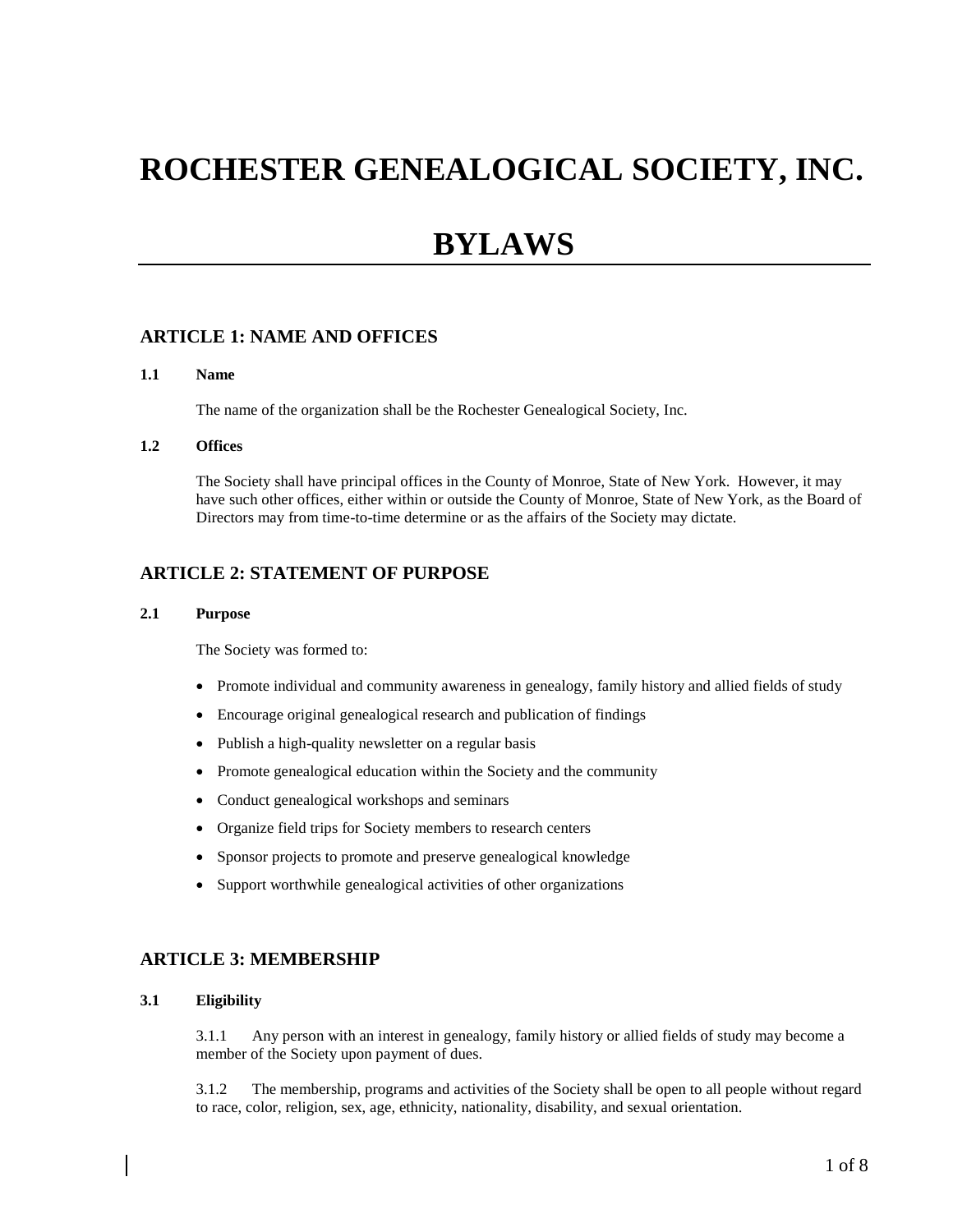# **ROCHESTER GENEALOGICAL SOCIETY, INC.**

# **BYLAWS**

# **ARTICLE 1: NAME AND OFFICES**

#### **1.1 Name**

The name of the organization shall be the Rochester Genealogical Society, Inc.

#### **1.2 Offices**

The Society shall have principal offices in the County of Monroe, State of New York. However, it may have such other offices, either within or outside the County of Monroe, State of New York, as the Board of Directors may from time-to-time determine or as the affairs of the Society may dictate.

# **ARTICLE 2: STATEMENT OF PURPOSE**

#### **2.1 Purpose**

The Society was formed to:

- Promote individual and community awareness in genealogy, family history and allied fields of study
- Encourage original genealogical research and publication of findings
- Publish a high-quality newsletter on a regular basis
- Promote genealogical education within the Society and the community
- Conduct genealogical workshops and seminars
- Organize field trips for Society members to research centers
- Sponsor projects to promote and preserve genealogical knowledge
- Support worthwhile genealogical activities of other organizations

# **ARTICLE 3: MEMBERSHIP**

#### **3.1 Eligibility**

3.1.1 Any person with an interest in genealogy, family history or allied fields of study may become a member of the Society upon payment of dues.

3.1.2 The membership, programs and activities of the Society shall be open to all people without regard to race, color, religion, sex, age, ethnicity, nationality, disability, and sexual orientation.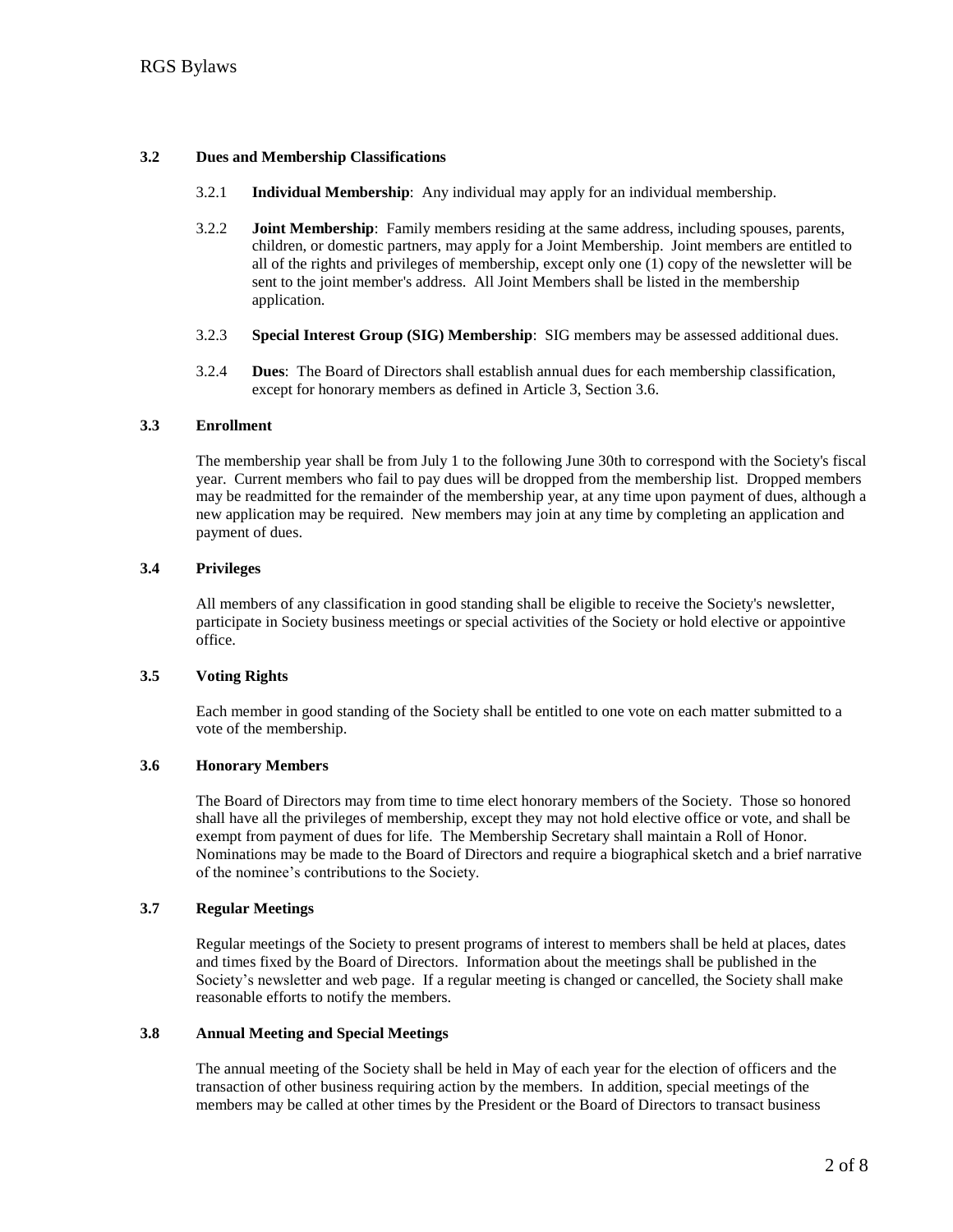#### **3.2 Dues and Membership Classifications**

- 3.2.1 **Individual Membership**: Any individual may apply for an individual membership.
- 3.2.2 **Joint Membership**: Family members residing at the same address, including spouses, parents, children, or domestic partners, may apply for a Joint Membership. Joint members are entitled to all of the rights and privileges of membership, except only one (1) copy of the newsletter will be sent to the joint member's address. All Joint Members shall be listed in the membership application.
- 3.2.3 **Special Interest Group (SIG) Membership**: SIG members may be assessed additional dues.
- 3.2.4 **Dues**: The Board of Directors shall establish annual dues for each membership classification, except for honorary members as defined in Article 3, Section 3.6.

#### **3.3 Enrollment**

The membership year shall be from July 1 to the following June 30th to correspond with the Society's fiscal year. Current members who fail to pay dues will be dropped from the membership list. Dropped members may be readmitted for the remainder of the membership year, at any time upon payment of dues, although a new application may be required. New members may join at any time by completing an application and payment of dues.

#### **3.4 Privileges**

All members of any classification in good standing shall be eligible to receive the Society's newsletter, participate in Society business meetings or special activities of the Society or hold elective or appointive office.

#### **3.5 Voting Rights**

Each member in good standing of the Society shall be entitled to one vote on each matter submitted to a vote of the membership.

#### **3.6 Honorary Members**

The Board of Directors may from time to time elect honorary members of the Society. Those so honored shall have all the privileges of membership, except they may not hold elective office or vote, and shall be exempt from payment of dues for life. The Membership Secretary shall maintain a Roll of Honor. Nominations may be made to the Board of Directors and require a biographical sketch and a brief narrative of the nominee's contributions to the Society.

#### **3.7 Regular Meetings**

Regular meetings of the Society to present programs of interest to members shall be held at places, dates and times fixed by the Board of Directors. Information about the meetings shall be published in the Society's newsletter and web page. If a regular meeting is changed or cancelled, the Society shall make reasonable efforts to notify the members.

#### **3.8 Annual Meeting and Special Meetings**

The annual meeting of the Society shall be held in May of each year for the election of officers and the transaction of other business requiring action by the members. In addition, special meetings of the members may be called at other times by the President or the Board of Directors to transact business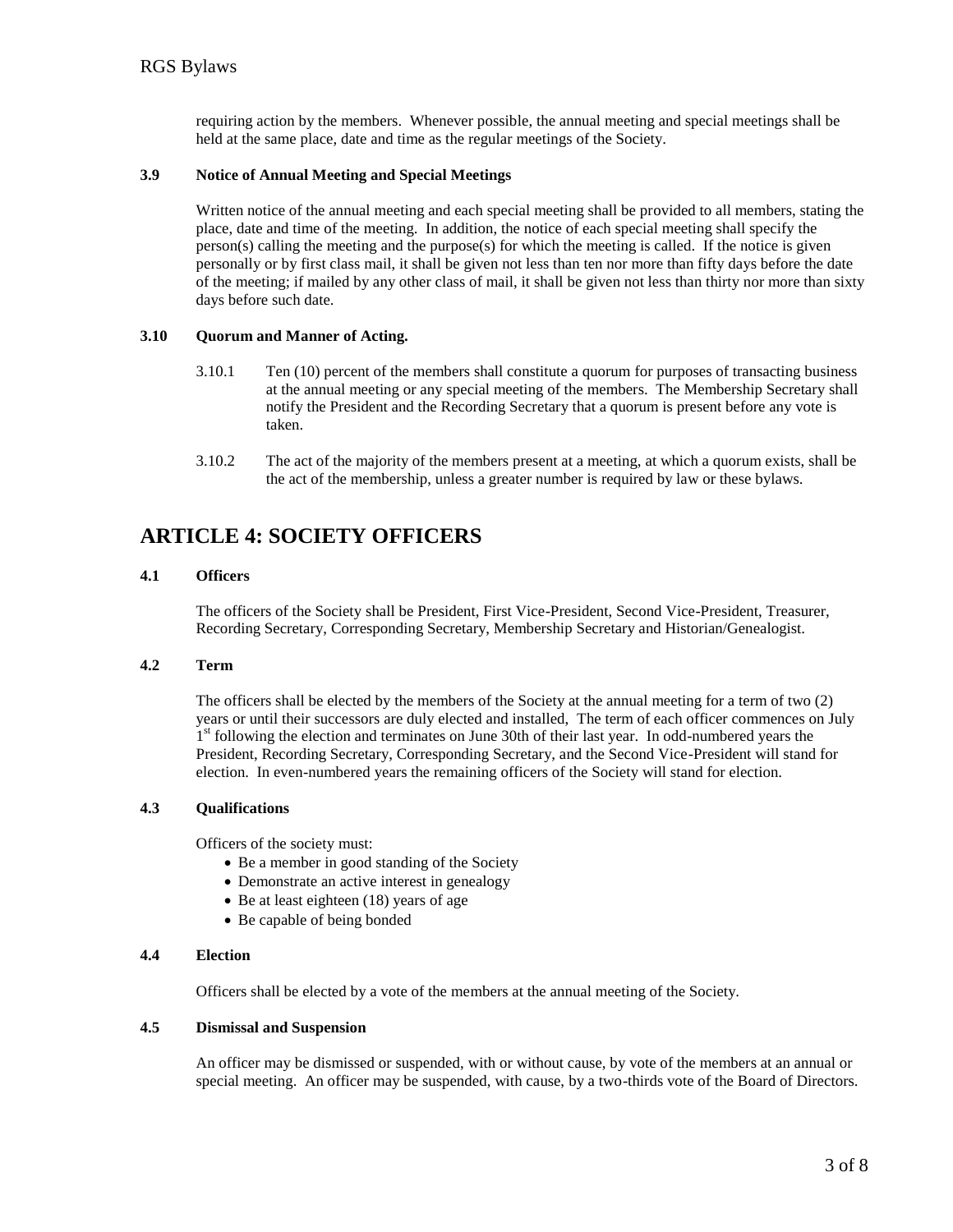requiring action by the members. Whenever possible, the annual meeting and special meetings shall be held at the same place, date and time as the regular meetings of the Society.

#### **3.9 Notice of Annual Meeting and Special Meetings**

Written notice of the annual meeting and each special meeting shall be provided to all members, stating the place, date and time of the meeting. In addition, the notice of each special meeting shall specify the person(s) calling the meeting and the purpose(s) for which the meeting is called. If the notice is given personally or by first class mail, it shall be given not less than ten nor more than fifty days before the date of the meeting; if mailed by any other class of mail, it shall be given not less than thirty nor more than sixty days before such date.

#### **3.10 Quorum and Manner of Acting.**

- 3.10.1 Ten (10) percent of the members shall constitute a quorum for purposes of transacting business at the annual meeting or any special meeting of the members. The Membership Secretary shall notify the President and the Recording Secretary that a quorum is present before any vote is taken.
- 3.10.2 The act of the majority of the members present at a meeting, at which a quorum exists, shall be the act of the membership, unless a greater number is required by law or these bylaws.

# **ARTICLE 4: SOCIETY OFFICERS**

#### **4.1 Officers**

The officers of the Society shall be President, First Vice-President, Second Vice-President, Treasurer, Recording Secretary, Corresponding Secretary, Membership Secretary and Historian/Genealogist.

#### **4.2 Term**

The officers shall be elected by the members of the Society at the annual meeting for a term of two (2) years or until their successors are duly elected and installed, The term of each officer commences on July <sup>1st</sup> following the election and terminates on June 30th of their last year. In odd-numbered years the President, Recording Secretary, Corresponding Secretary, and the Second Vice-President will stand for election. In even-numbered years the remaining officers of the Society will stand for election.

#### **4.3 Qualifications**

Officers of the society must:

- Be a member in good standing of the Society
- Demonstrate an active interest in genealogy
- $\bullet$  Be at least eighteen (18) years of age
- Be capable of being bonded

#### **4.4 Election**

Officers shall be elected by a vote of the members at the annual meeting of the Society.

# **4.5 Dismissal and Suspension**

An officer may be dismissed or suspended, with or without cause, by vote of the members at an annual or special meeting. An officer may be suspended, with cause, by a two-thirds vote of the Board of Directors.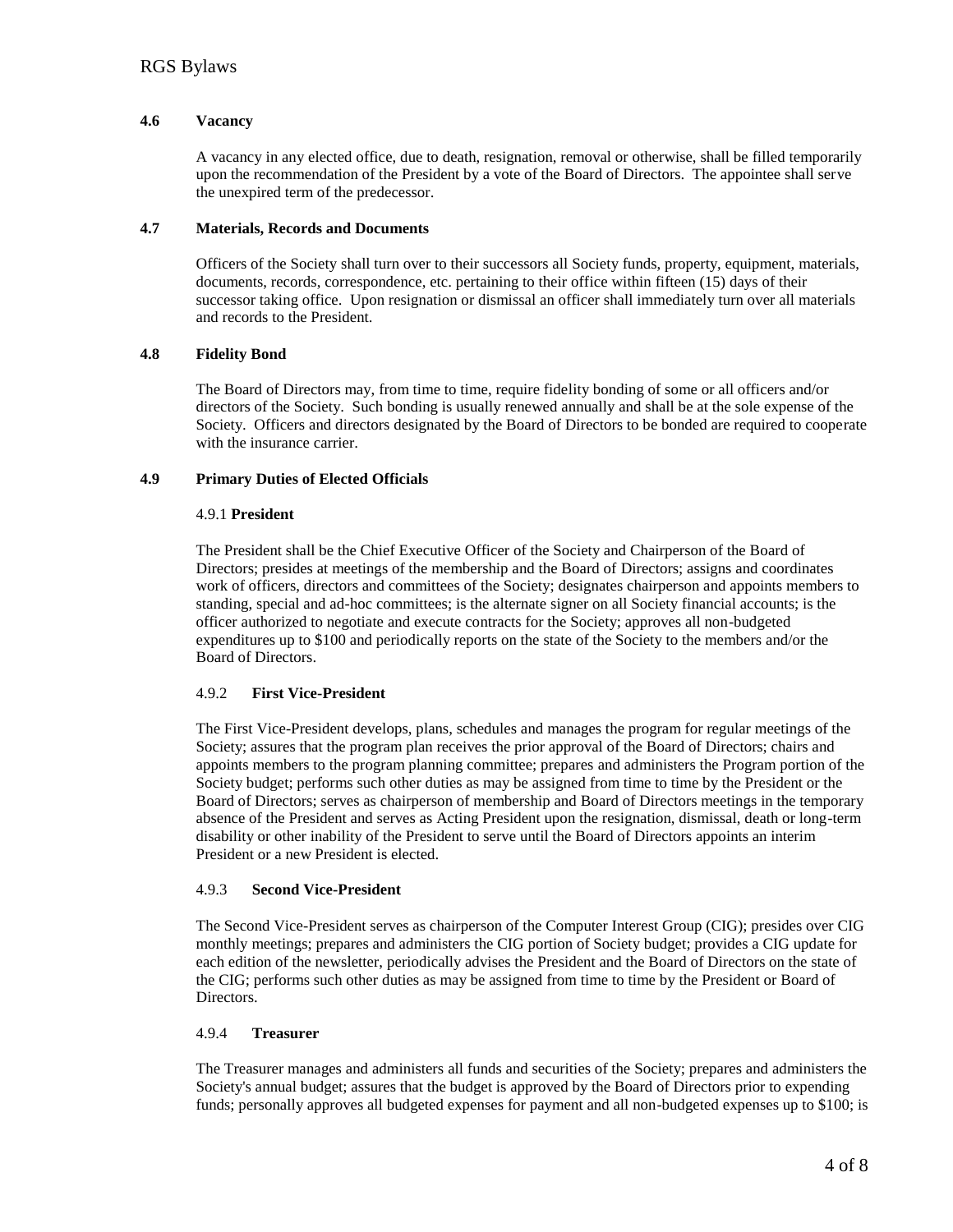#### **4.6 Vacancy**

A vacancy in any elected office, due to death, resignation, removal or otherwise, shall be filled temporarily upon the recommendation of the President by a vote of the Board of Directors. The appointee shall serve the unexpired term of the predecessor.

#### **4.7 Materials, Records and Documents**

Officers of the Society shall turn over to their successors all Society funds, property, equipment, materials, documents, records, correspondence, etc. pertaining to their office within fifteen (15) days of their successor taking office. Upon resignation or dismissal an officer shall immediately turn over all materials and records to the President.

#### **4.8 Fidelity Bond**

The Board of Directors may, from time to time, require fidelity bonding of some or all officers and/or directors of the Society. Such bonding is usually renewed annually and shall be at the sole expense of the Society. Officers and directors designated by the Board of Directors to be bonded are required to cooperate with the insurance carrier.

# **4.9 Primary Duties of Elected Officials**

#### 4.9.1 **President**

The President shall be the Chief Executive Officer of the Society and Chairperson of the Board of Directors; presides at meetings of the membership and the Board of Directors; assigns and coordinates work of officers, directors and committees of the Society; designates chairperson and appoints members to standing, special and ad-hoc committees; is the alternate signer on all Society financial accounts; is the officer authorized to negotiate and execute contracts for the Society; approves all non-budgeted expenditures up to \$100 and periodically reports on the state of the Society to the members and/or the Board of Directors.

# 4.9.2 **First Vice-President**

The First Vice-President develops, plans, schedules and manages the program for regular meetings of the Society; assures that the program plan receives the prior approval of the Board of Directors; chairs and appoints members to the program planning committee; prepares and administers the Program portion of the Society budget; performs such other duties as may be assigned from time to time by the President or the Board of Directors; serves as chairperson of membership and Board of Directors meetings in the temporary absence of the President and serves as Acting President upon the resignation, dismissal, death or long-term disability or other inability of the President to serve until the Board of Directors appoints an interim President or a new President is elected.

#### 4.9.3 **Second Vice-President**

The Second Vice-President serves as chairperson of the Computer Interest Group (CIG); presides over CIG monthly meetings; prepares and administers the CIG portion of Society budget; provides a CIG update for each edition of the newsletter, periodically advises the President and the Board of Directors on the state of the CIG; performs such other duties as may be assigned from time to time by the President or Board of Directors.

#### 4.9.4 **Treasurer**

The Treasurer manages and administers all funds and securities of the Society; prepares and administers the Society's annual budget; assures that the budget is approved by the Board of Directors prior to expending funds; personally approves all budgeted expenses for payment and all non-budgeted expenses up to \$100; is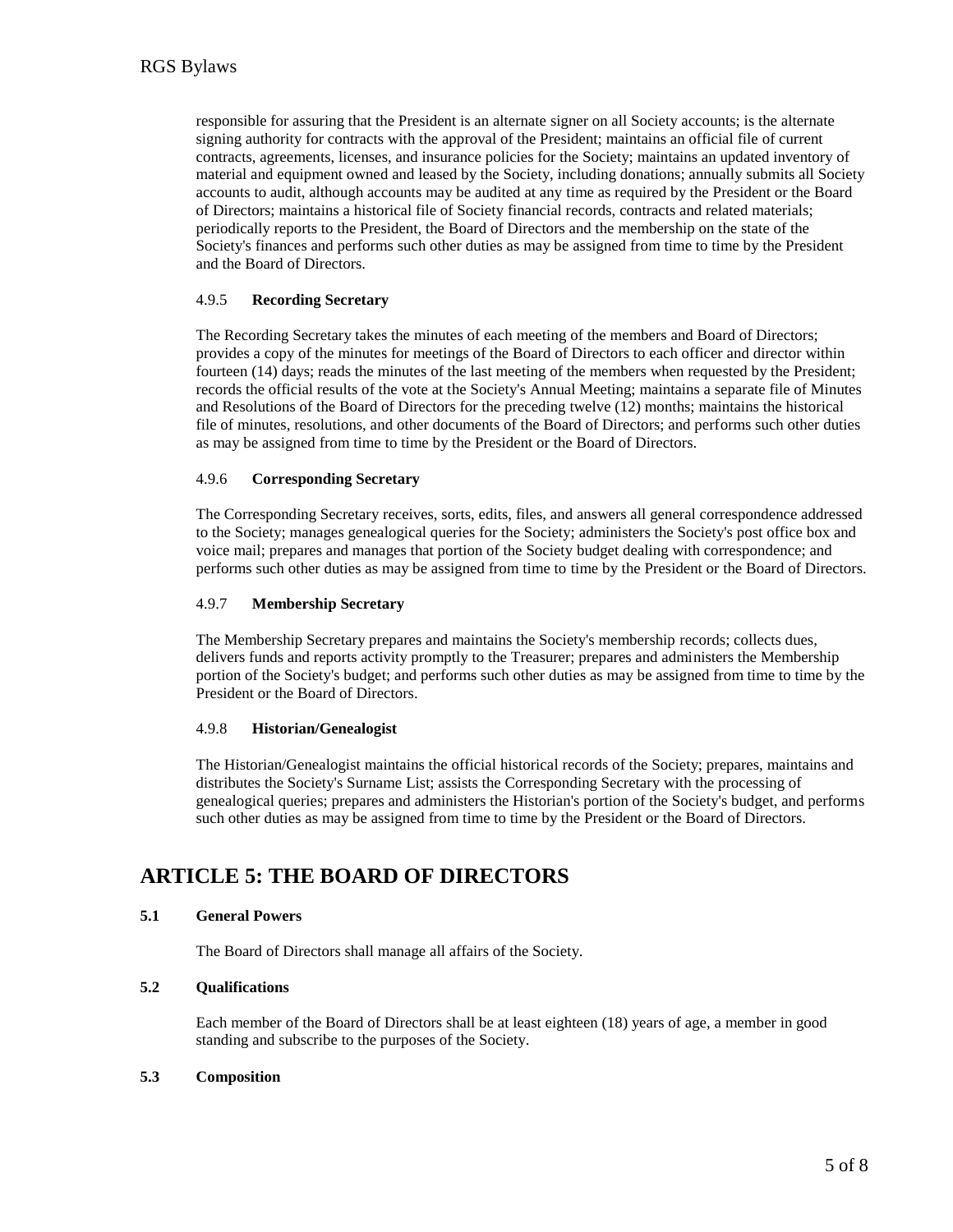responsible for assuring that the President is an alternate signer on all Society accounts; is the alternate signing authority for contracts with the approval of the President; maintains an official file of current contracts, agreements, licenses, and insurance policies for the Society; maintains an updated inventory of material and equipment owned and leased by the Society, including donations; annually submits all Society accounts to audit, although accounts may be audited at any time as required by the President or the Board of Directors; maintains a historical file of Society financial records, contracts and related materials; periodically reports to the President, the Board of Directors and the membership on the state of the Society's finances and performs such other duties as may be assigned from time to time by the President and the Board of Directors.

#### 4.9.5 **Recording Secretary**

The Recording Secretary takes the minutes of each meeting of the members and Board of Directors; provides a copy of the minutes for meetings of the Board of Directors to each officer and director within fourteen (14) days; reads the minutes of the last meeting of the members when requested by the President; records the official results of the vote at the Society's Annual Meeting; maintains a separate file of Minutes and Resolutions of the Board of Directors for the preceding twelve (12) months; maintains the historical file of minutes, resolutions, and other documents of the Board of Directors; and performs such other duties as may be assigned from time to time by the President or the Board of Directors.

#### 4.9.6 **Corresponding Secretary**

The Corresponding Secretary receives, sorts, edits, files, and answers all general correspondence addressed to the Society; manages genealogical queries for the Society; administers the Society's post office box and voice mail; prepares and manages that portion of the Society budget dealing with correspondence; and performs such other duties as may be assigned from time to time by the President or the Board of Directors.

#### 4.9.7 **Membership Secretary**

The Membership Secretary prepares and maintains the Society's membership records; collects dues, delivers funds and reports activity promptly to the Treasurer; prepares and administers the Membership portion of the Society's budget; and performs such other duties as may be assigned from time to time by the President or the Board of Directors.

#### 4.9.8 **Historian/Genealogist**

The Historian/Genealogist maintains the official historical records of the Society; prepares, maintains and distributes the Society's Surname List; assists the Corresponding Secretary with the processing of genealogical queries; prepares and administers the Historian's portion of the Society's budget, and performs such other duties as may be assigned from time to time by the President or the Board of Directors.

# **ARTICLE 5: THE BOARD OF DIRECTORS**

# **5.1 General Powers**

The Board of Directors shall manage all affairs of the Society.

#### **5.2 Qualifications**

Each member of the Board of Directors shall be at least eighteen (18) years of age, a member in good standing and subscribe to the purposes of the Society.

#### **5.3 Composition**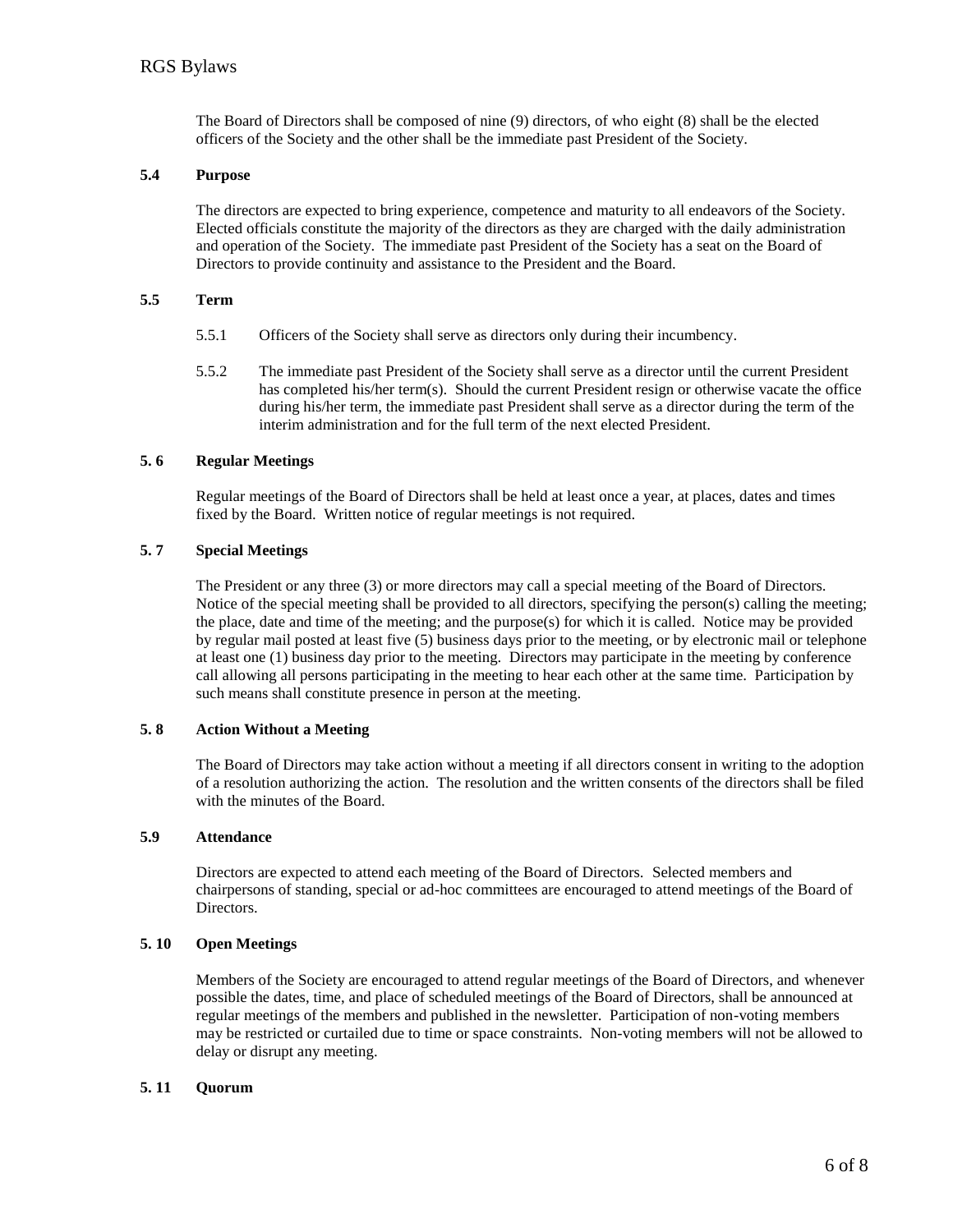The Board of Directors shall be composed of nine (9) directors, of who eight (8) shall be the elected officers of the Society and the other shall be the immediate past President of the Society.

#### **5.4 Purpose**

The directors are expected to bring experience, competence and maturity to all endeavors of the Society. Elected officials constitute the majority of the directors as they are charged with the daily administration and operation of the Society. The immediate past President of the Society has a seat on the Board of Directors to provide continuity and assistance to the President and the Board.

#### **5.5 Term**

- 5.5.1 Officers of the Society shall serve as directors only during their incumbency.
- 5.5.2 The immediate past President of the Society shall serve as a director until the current President has completed his/her term(s). Should the current President resign or otherwise vacate the office during his/her term, the immediate past President shall serve as a director during the term of the interim administration and for the full term of the next elected President.

#### **5. 6 Regular Meetings**

Regular meetings of the Board of Directors shall be held at least once a year, at places, dates and times fixed by the Board. Written notice of regular meetings is not required.

# **5. 7 Special Meetings**

The President or any three (3) or more directors may call a special meeting of the Board of Directors. Notice of the special meeting shall be provided to all directors, specifying the person(s) calling the meeting; the place, date and time of the meeting; and the purpose(s) for which it is called. Notice may be provided by regular mail posted at least five (5) business days prior to the meeting, or by electronic mail or telephone at least one (1) business day prior to the meeting. Directors may participate in the meeting by conference call allowing all persons participating in the meeting to hear each other at the same time. Participation by such means shall constitute presence in person at the meeting.

#### **5. 8 Action Without a Meeting**

The Board of Directors may take action without a meeting if all directors consent in writing to the adoption of a resolution authorizing the action. The resolution and the written consents of the directors shall be filed with the minutes of the Board.

#### **5.9 Attendance**

Directors are expected to attend each meeting of the Board of Directors. Selected members and chairpersons of standing, special or ad-hoc committees are encouraged to attend meetings of the Board of Directors.

#### **5. 10 Open Meetings**

Members of the Society are encouraged to attend regular meetings of the Board of Directors, and whenever possible the dates, time, and place of scheduled meetings of the Board of Directors, shall be announced at regular meetings of the members and published in the newsletter. Participation of non-voting members may be restricted or curtailed due to time or space constraints. Non-voting members will not be allowed to delay or disrupt any meeting.

#### **5. 11 Quorum**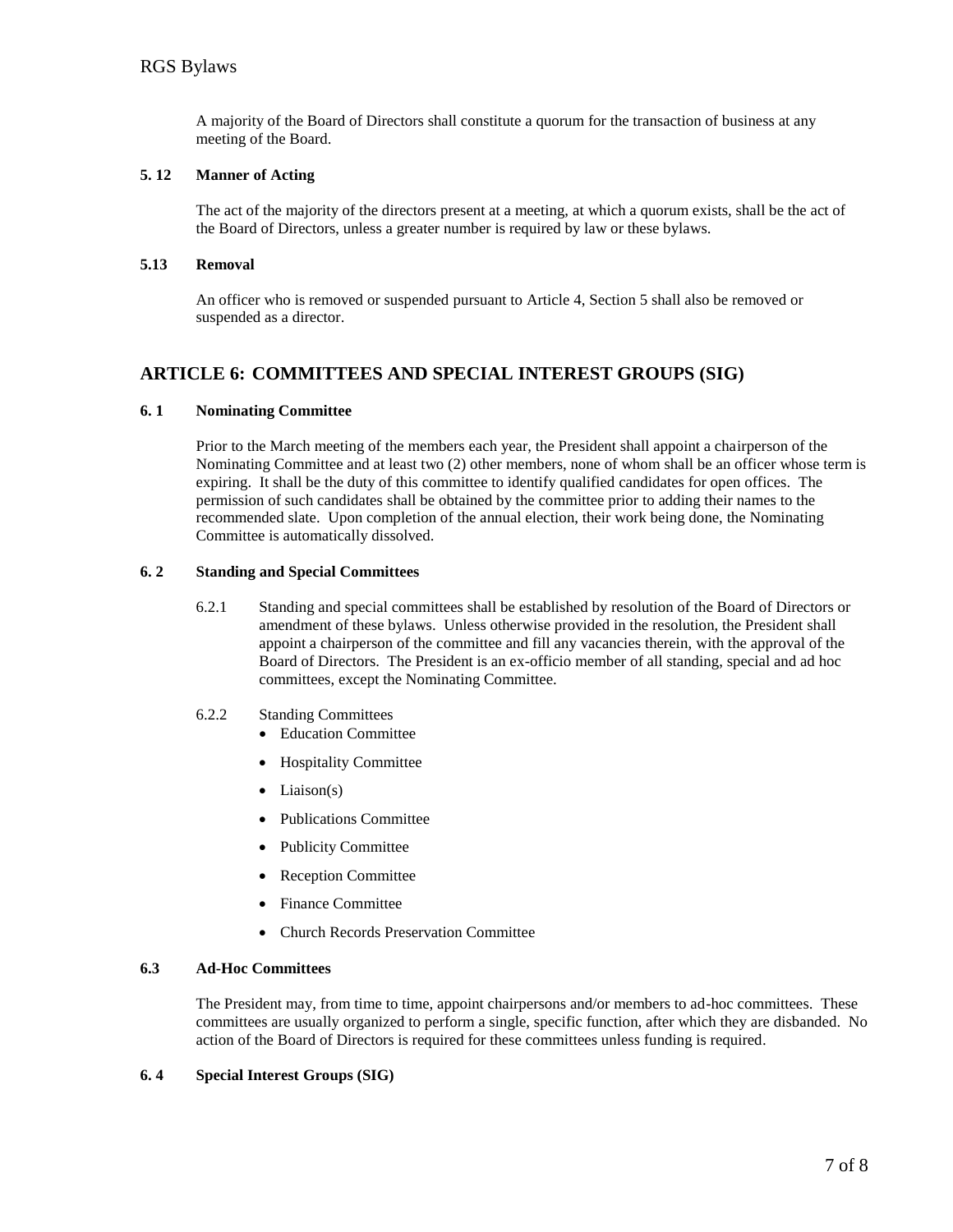A majority of the Board of Directors shall constitute a quorum for the transaction of business at any meeting of the Board.

#### **5. 12 Manner of Acting**

The act of the majority of the directors present at a meeting, at which a quorum exists, shall be the act of the Board of Directors, unless a greater number is required by law or these bylaws.

#### **5.13 Removal**

An officer who is removed or suspended pursuant to Article 4, Section 5 shall also be removed or suspended as a director.

# **ARTICLE 6: COMMITTEES AND SPECIAL INTEREST GROUPS (SIG)**

#### **6. 1 Nominating Committee**

Prior to the March meeting of the members each year, the President shall appoint a chairperson of the Nominating Committee and at least two (2) other members, none of whom shall be an officer whose term is expiring. It shall be the duty of this committee to identify qualified candidates for open offices. The permission of such candidates shall be obtained by the committee prior to adding their names to the recommended slate. Upon completion of the annual election, their work being done, the Nominating Committee is automatically dissolved.

#### **6. 2 Standing and Special Committees**

- 6.2.1 Standing and special committees shall be established by resolution of the Board of Directors or amendment of these bylaws. Unless otherwise provided in the resolution, the President shall appoint a chairperson of the committee and fill any vacancies therein, with the approval of the Board of Directors. The President is an ex-officio member of all standing, special and ad hoc committees, except the Nominating Committee.
- 6.2.2 Standing Committees
	- Education Committee
	- Hospitality Committee
	- $\bullet$  Liaison(s)
	- Publications Committee
	- Publicity Committee
	- Reception Committee
	- Finance Committee
	- Church Records Preservation Committee

#### **6.3 Ad-Hoc Committees**

The President may, from time to time, appoint chairpersons and/or members to ad-hoc committees. These committees are usually organized to perform a single, specific function, after which they are disbanded. No action of the Board of Directors is required for these committees unless funding is required.

#### **6. 4 Special Interest Groups (SIG)**